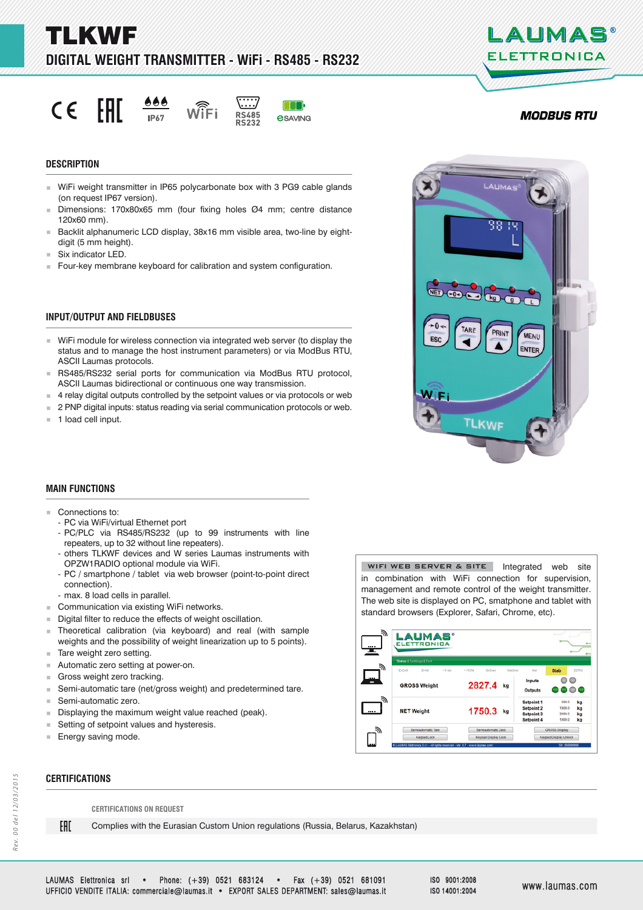a d M K V V J S **DIGITAL WEIGHT TRANSMITTER - WiFi - RS485 - RS232 IGITAL** 

FAIT  $\epsilon$ 





**e**SAVING



- WiFi weight transmitter in IP65 polycarbonate box with 3 PG9 cable glands (on request IP67 version).
- Dimensions: 170x80x65 mm (four fixing holes Ø4 mm; centre distance 120x60 mm).
- Backlit alphanumeric LCD display, 38x16 mm visible area, two-line by eightdigit (5 mm height).
- Six indicator LED.
- Four-key membrane keyboard for calibration and system configuration.

## **INPUT/OUTPUT AND FIELDBUSES**

- WiFi module for wireless connection via integrated web server (to display the status and to manage the host instrument parameters) or via ModBus RTU, ASCII Laumas protocols.
- RS485/RS232 serial ports for communication via ModBus RTU protocol, ASCII Laumas bidirectional or continuous one way transmission.
- 4 relay digital outputs controlled by the setpoint values or via protocols or web
- **2 PNP digital inputs: status reading via serial communication protocols or web.**
- 1 load cell input.

## **MAIN FUNCTIONS**

- Connections to:
	- PC via WiFi/virtual Ethernet port
	- PC/PLC via RS485/RS232 (up to 99 instruments with line repeaters, up to 32 without line repeaters).
	- others TLKWF devices and W series Laumas instruments with OPZW1RADIO optional module via WiFi.
	- PC / smartphone / tablet via web browser (point-to-point direct connection).
	- max. 8 load cells in parallel.
- Communication via existing WiFi networks.
- Digital filter to reduce the effects of weight oscillation.
- Theoretical calibration (via keyboard) and real (with sample weights and the possibility of weight linearization up to 5 points).
- Tare weight zero setting.
- Automatic zero setting at power-on.
- Gross weight zero tracking.
- Semi-automatic tare (net/gross weight) and predetermined tare.<br>Semi-automatic zero.
- Semi-automatic zero.<br>Displaving the maxim
- Displaying the maximum weight value reached (peak).
- Setting of setpoint values and hysteresis.
- Energy saving mode.

**CERTIFICATIONS ERTIFICATIONS**

FAT

WIFI WEB SERVER & SITE | Integrated web site in combination with WiFi connection for supervision, management and remote control of the weight transmitter. The web site is displayed on PC, smatphone and tablet with standard browsers (Explorer, Safari, Chrome, etc).



**CERTIFICATIONS ON REQUEST**

Complies with the Eurasian Custom Union regulations (Russia, Belarus, Kazakhstan)



LAUMAS

**ELETTRONICA** 



ISO 9001:2008 ISO 14001:2004